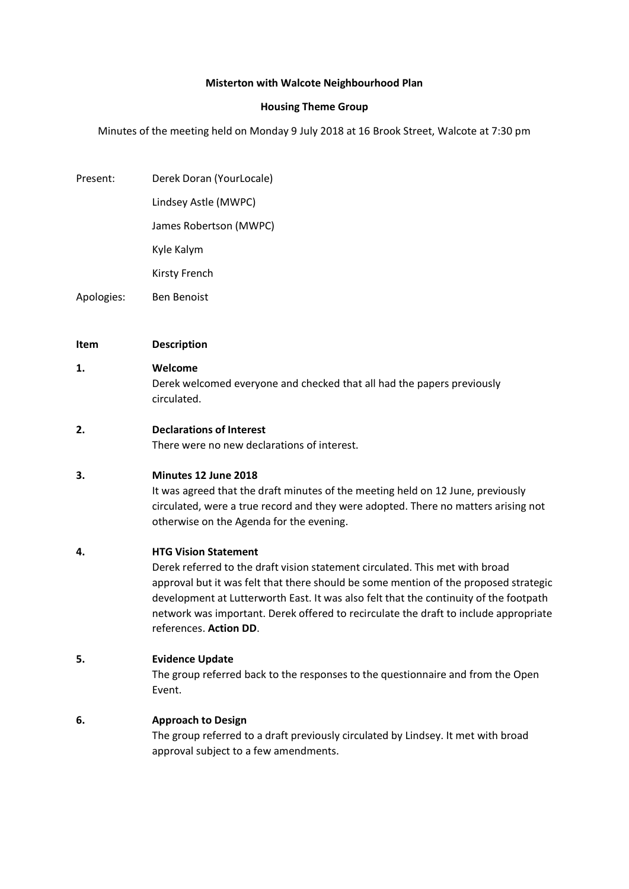#### **Misterton with Walcote Neighbourhood Plan**

#### **Housing Theme Group**

Minutes of the meeting held on Monday 9 July 2018 at 16 Brook Street, Walcote at 7:30 pm

Present: Derek Doran (YourLocale)

Lindsey Astle (MWPC)

James Robertson (MWPC)

Kyle Kalym

Kirsty French

Apologies: Ben Benoist

#### **Item Description**

#### **1. Welcome**

Derek welcomed everyone and checked that all had the papers previously circulated.

**2. Declarations of Interest**

There were no new declarations of interest.

## **3. Minutes 12 June 2018**

It was agreed that the draft minutes of the meeting held on 12 June, previously circulated, were a true record and they were adopted. There no matters arising not otherwise on the Agenda for the evening.

## **4. HTG Vision Statement**

Derek referred to the draft vision statement circulated. This met with broad approval but it was felt that there should be some mention of the proposed strategic development at Lutterworth East. It was also felt that the continuity of the footpath network was important. Derek offered to recirculate the draft to include appropriate references. **Action DD**.

## **5. Evidence Update**

The group referred back to the responses to the questionnaire and from the Open Event.

## **6. Approach to Design**

The group referred to a draft previously circulated by Lindsey. It met with broad approval subject to a few amendments.